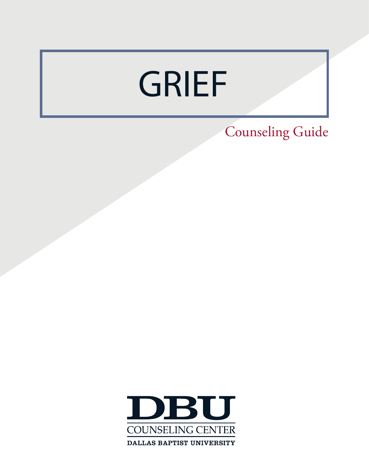# GRIEF

Counseling Guide

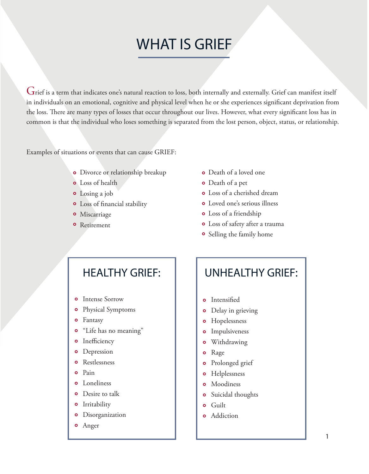### WHAT IS GRIEF

Grief is a term that indicates one's natural reaction to loss, both internally and externally. Grief can manifest itself in individuals on an emotional, cognitive and physical level when he or she experiences significant deprivation from the loss. There are many types of losses that occur throughout our lives. However, what every significant loss has in common is that the individual who loses something is separated from the lost person, object, status, or relationship.

Examples of situations or events that can cause GRIEF:

- **o** Divorce or relationship breakup
- Loss of health
- Losing a job
- Loss of financial stability
- **o** Miscarriage
- **o** Retirement
- Death of a loved one
- Death of a pet
- Loss of a cherished dream
- Loved one's serious illness
- Loss of a friendship
- Loss of safety after a trauma
- **•** Selling the family home

- **o** Intense Sorrow
- Physical Symptoms  $\bullet$
- Fantasy
- "Life has no meaning"  $\bullet$
- **o** Inefficiency
- $\bullet$ Depression
- **o** Restlessness
- Pain  $\bullet$
- **o** Loneliness
- **o** Desire to talk
- **o** Irritability
- Disorganization
- Anger

### HEALTHY GRIEF:  $\parallel$  UNHEALTHY GRIEF:

- **o** Intensified
- Delay in grieving  $\bullet$
- Hopelessness  $\bullet$
- **o** Impulsiveness
- $\bullet$ Withdrawing
- Rage  $\bullet$
- **o** Prolonged grief
- $\bullet$ Helplessness
- **o** Moodiness
- **o** Suicidal thoughts
- **o** Guilt
- **o** Addiction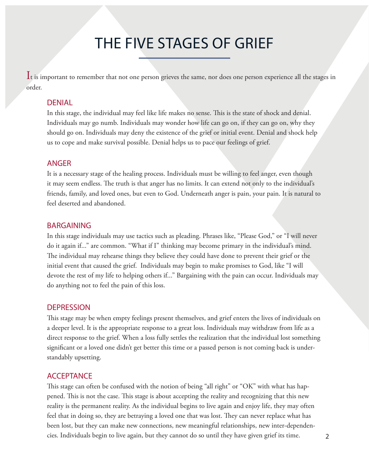### THE FIVE STAGES OF GRIEF

It is important to remember that not one person grieves the same, nor does one person experience all the stages in order.

#### DENIAL

In this stage, the individual may feel like life makes no sense. This is the state of shock and denial. Individuals may go numb. Individuals may wonder how life can go on, if they can go on, why they should go on. Individuals may deny the existence of the grief or initial event. Denial and shock help us to cope and make survival possible. Denial helps us to pace our feelings of grief.

#### ANGER

It is a necessary stage of the healing process. Individuals must be willing to feel anger, even though it may seem endless. The truth is that anger has no limits. It can extend not only to the individual's friends, family, and loved ones, but even to God. Underneath anger is pain, your pain. It is natural to feel deserted and abandoned.

#### BARGAINING

In this stage individuals may use tactics such as pleading. Phrases like, "Please God," or "I will never do it again if..." are common. "What if I" thinking may become primary in the individual's mind. The individual may rehearse things they believe they could have done to prevent their grief or the initial event that caused the grief. Individuals may begin to make promises to God, like "I will devote the rest of my life to helping others if..." Bargaining with the pain can occur. Individuals may do anything not to feel the pain of this loss.

#### **DEPRESSION**

This stage may be when empty feelings present themselves, and grief enters the lives of individuals on a deeper level. It is the appropriate response to a great loss. Individuals may withdraw from life as a direct response to the grief. When a loss fully settles the realization that the individual lost something significant or a loved one didn't get better this time or a passed person is not coming back is understandably upsetting.

#### **ACCEPTANCE**

This stage can often be confused with the notion of being "all right" or "OK" with what has happened. This is not the case. This stage is about accepting the reality and recognizing that this new reality is the permanent reality. As the individual begins to live again and enjoy life, they may often feel that in doing so, they are betraying a loved one that was lost. They can never replace what has been lost, but they can make new connections, new meaningful relationships, new inter-dependencies. Individuals begin to live again, but they cannot do so until they have given grief its time.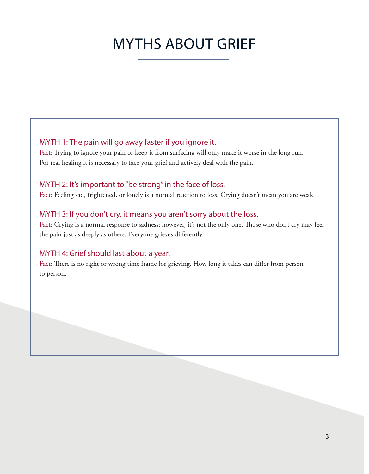### MYTHS ABOUT GRIEF

#### MYTH 1: The pain will go away faster if you ignore it.

Fact: Trying to ignore your pain or keep it from surfacing will only make it worse in the long run. For real healing it is necessary to face your grief and actively deal with the pain.

#### MYTH 2: It's important to "be strong" in the face of loss.

Fact: Feeling sad, frightened, or lonely is a normal reaction to loss. Crying doesn't mean you are weak.

#### MYTH 3: If you don't cry, it means you aren't sorry about the loss.

Fact: Crying is a normal response to sadness; however, it's not the only one. Those who don't cry may feel the pain just as deeply as others. Everyone grieves differently.

#### MYTH 4: Grief should last about a year.

Fact: There is no right or wrong time frame for grieving. How long it takes can differ from person to person.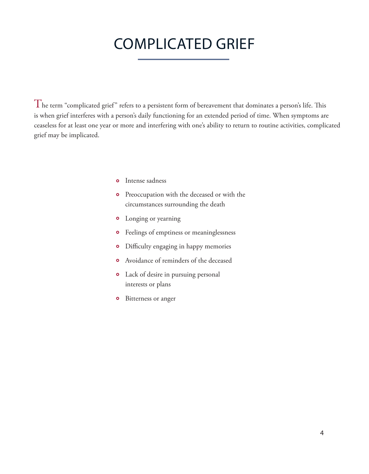### COMPLICATED GRIEF

 $\rm T$ he term "complicated grief" refers to a persistent form of bereavement that dominates a person's life. This is when grief interferes with a person's daily functioning for an extended period of time. When symptoms are ceaseless for at least one year or more and interfering with one's ability to return to routine activities, complicated grief may be implicated.

- Intense sadness
- **o** Preoccupation with the deceased or with the circumstances surrounding the death
- Longing or yearning
- Feelings of emptiness or meaninglessness
- Difficulty engaging in happy memories
- Avoidance of reminders of the deceased
- Lack of desire in pursuing personal interests or plans
- $\bullet$ Bitterness or anger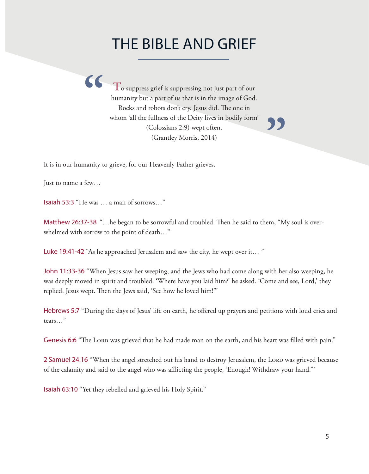### THE BIBLE AND GRIEF

**"** humanity but a part of us that is in the image of God. To suppress grief is suppressing not just part of our Rocks and robots don't cry. Jesus did. The one in whom 'all the fullness of the Deity lives in bodily form' (Colossians 2:9) wept often. (Grantley Morris, 2014)

**"**

It is in our humanity to grieve, for our Heavenly Father grieves.

Just to name a few…

Isaiah 53:3 "He was … a man of sorrows…"

Matthew 26:37-38 "…he began to be sorrowful and troubled. Then he said to them, "My soul is overwhelmed with sorrow to the point of death…"

Luke 19:41-42 "As he approached Jerusalem and saw the city, he wept over it… "

John 11:33-36 "When Jesus saw her weeping, and the Jews who had come along with her also weeping, he was deeply moved in spirit and troubled. 'Where have you laid him?' he asked. 'Come and see, Lord,' they replied. Jesus wept. Then the Jews said, 'See how he loved him!"'

Hebrews 5:7 "During the days of Jesus' life on earth, he offered up prayers and petitions with loud cries and tears…"

Genesis 6:6 "The Lord was grieved that he had made man on the earth, and his heart was filled with pain."

2 Samuel 24:16 "When the angel stretched out his hand to destroy Jerusalem, the LORD was grieved because of the calamity and said to the angel who was afflicting the people, 'Enough! Withdraw your hand."'

Isaiah 63:10 "Yet they rebelled and grieved his Holy Spirit."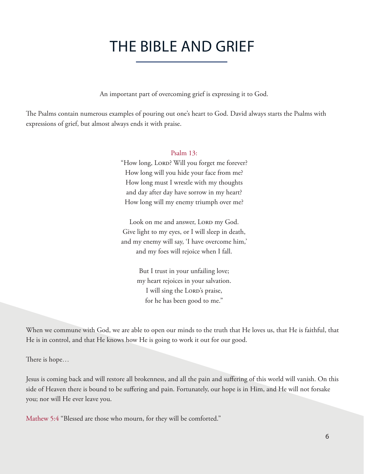### THE BIBLE AND GRIEF

An important part of overcoming grief is expressing it to God.

The Psalms contain numerous examples of pouring out one's heart to God. David always starts the Psalms with expressions of grief, but almost always ends it with praise.

#### Psalm 13:

"How long, LORD? Will you forget me forever? How long will you hide your face from me? How long must I wrestle with my thoughts and day after day have sorrow in my heart? How long will my enemy triumph over me?

Look on me and answer, LORD my God. Give light to my eyes, or I will sleep in death, and my enemy will say, 'I have overcome him,' and my foes will rejoice when I fall.

> But I trust in your unfailing love; my heart rejoices in your salvation. I will sing the LORD's praise, for he has been good to me."

When we commune with God, we are able to open our minds to the truth that He loves us, that He is faithful, that He is in control, and that He knows how He is going to work it out for our good.

There is hope…

Jesus is coming back and will restore all brokenness, and all the pain and suffering of this world will vanish. On this side of Heaven there is bound to be suffering and pain. Fortunately, our hope is in Him, and He will not forsake you; nor will He ever leave you.

Mathew 5:4 "Blessed are those who mourn, for they will be comforted."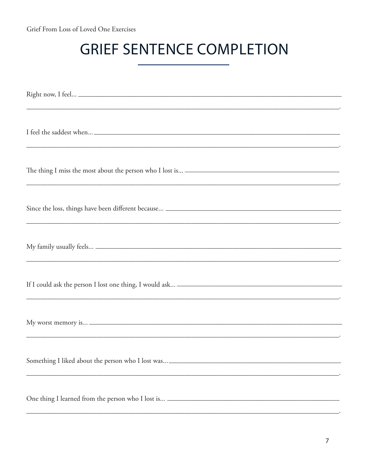## **GRIEF SENTENCE COMPLETION**

| Something I liked about the person who I lost was_____________________________ |
|--------------------------------------------------------------------------------|
|                                                                                |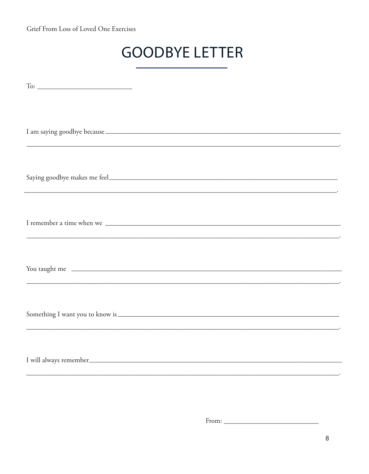Grief From Loss of Loved One Exercises

### **GOODBYE LETTER**

| <u> 1990 - Johann Harry Harry Harry Harry Harry Harry Harry Harry Harry Harry Harry Harry Harry Harry Harry Harry</u> |
|-----------------------------------------------------------------------------------------------------------------------|
|                                                                                                                       |
| You taught me                                                                                                         |
|                                                                                                                       |
|                                                                                                                       |

From: